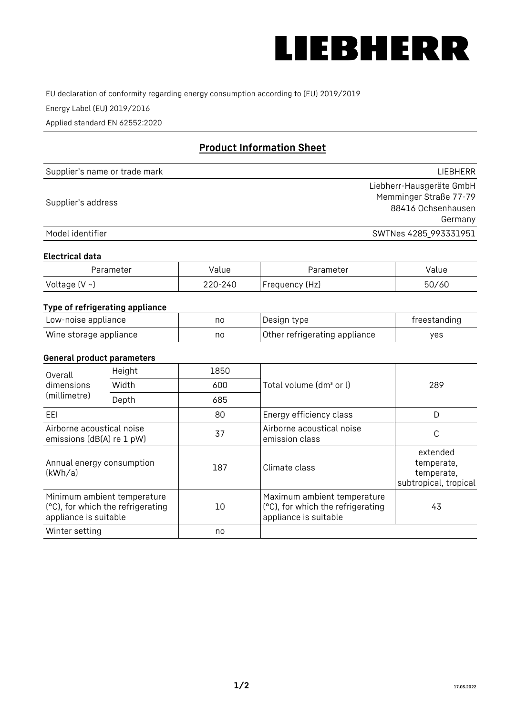

EU declaration of conformity regarding energy consumption according to (EU) 2019/2019

Energy Label (EU) 2019/2016

Applied standard EN 62552:2020

# **Product Information Sheet**

| Supplier's name or trade mark | LIEBHERR                 |
|-------------------------------|--------------------------|
|                               | Liebherr-Hausgeräte GmbH |
| Supplier's address            | Memminger Straße 77-79   |
|                               | 88416 Ochsenhausen       |
|                               | Germany                  |
| Model identifier              | SWTNes 4285_993331951    |

#### **Electrical data**

| Parameter          | Value   | Parameter      | Value |
|--------------------|---------|----------------|-------|
| Voltage $(V \sim)$ | 220-240 | Frequency (Hz) | 50/60 |

### **Type of refrigerating appliance**

| Low-noise appliance    | nc | Design type                   | freestanding |
|------------------------|----|-------------------------------|--------------|
| Wine storage appliance | nc | Other refrigerating appliance | ves          |

#### **General product parameters**

| Overall<br>dimensions<br>(millimetre)                  | Height                                                           | 1850 |                                                                                           | 289                                                           |
|--------------------------------------------------------|------------------------------------------------------------------|------|-------------------------------------------------------------------------------------------|---------------------------------------------------------------|
|                                                        | Width                                                            | 600  | Total volume (dm <sup>3</sup> or l)                                                       |                                                               |
|                                                        | Depth                                                            | 685  |                                                                                           |                                                               |
| EEL                                                    |                                                                  | 80   | Energy efficiency class                                                                   | D                                                             |
| Airborne acoustical noise<br>emissions (dB(A) re 1 pW) |                                                                  | 37   | Airborne acoustical noise<br>emission class                                               | С                                                             |
| Annual energy consumption<br>(kWh/a)                   |                                                                  | 187  | Climate class                                                                             | extended<br>temperate,<br>temperate,<br>subtropical, tropical |
| appliance is suitable                                  | Minimum ambient temperature<br>(°C), for which the refrigerating | 10   | Maximum ambient temperature<br>(°C), for which the refrigerating<br>appliance is suitable | 43                                                            |
| Winter setting                                         |                                                                  | no   |                                                                                           |                                                               |